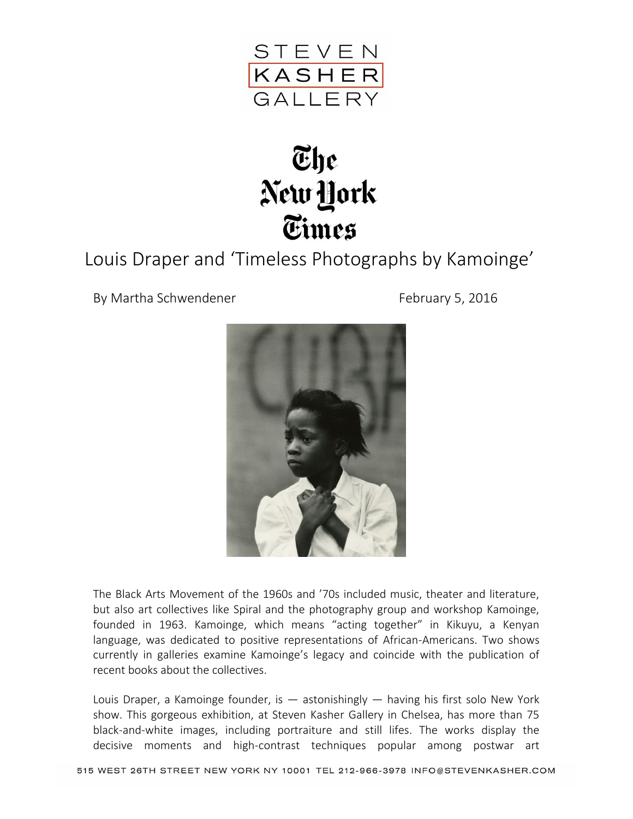



## Louis Draper and 'Timeless Photographs by Kamoinge'

By Martha Schwendener February 5, 2016



The Black Arts Movement of the 1960s and '70s included music, theater and literature, but also art collectives like Spiral and the photography group and workshop Kamoinge, founded in 1963. Kamoinge, which means "acting together" in Kikuyu, a Kenyan language, was dedicated to positive representations of African-Americans. Two shows currently in galleries examine Kamoinge's legacy and coincide with the publication of recent books about the collectives.

Louis Draper, a Kamoinge founder, is  $-$  astonishingly  $-$  having his first solo New York show. This gorgeous exhibition, at Steven Kasher Gallery in Chelsea, has more than 75 black-and-white images, including portraiture and still lifes. The works display the decisive moments and high-contrast techniques popular among postwar art